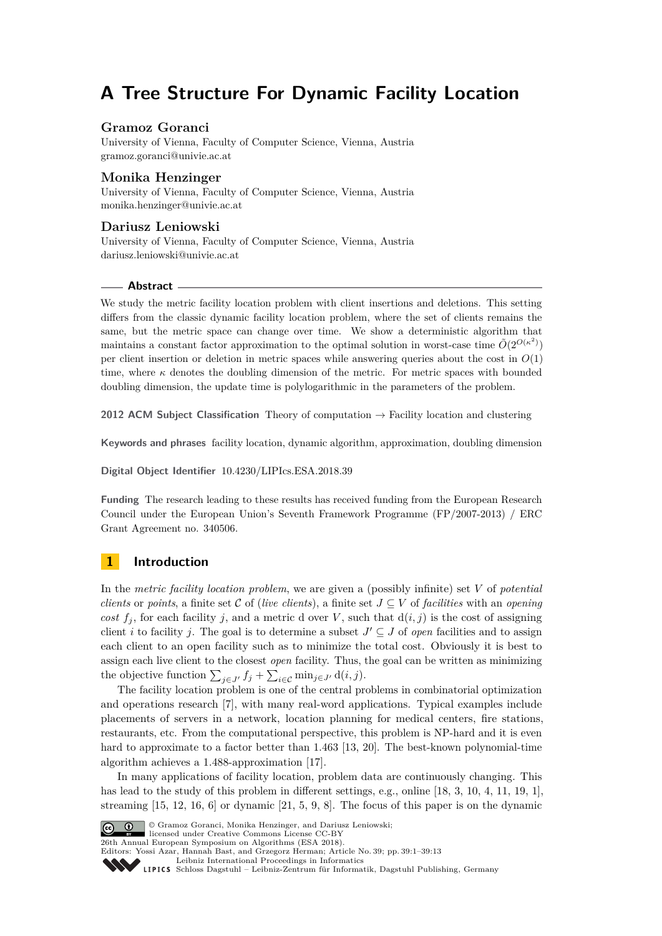# **A Tree Structure For Dynamic Facility Location**

# **Gramoz Goranci**

University of Vienna, Faculty of Computer Science, Vienna, Austria [gramoz.goranci@univie.ac.at](mailto:gramoz.goranci@univie.ac.at)

# **Monika Henzinger**

University of Vienna, Faculty of Computer Science, Vienna, Austria [monika.henzinger@univie.ac.at](mailto:monika.henzinger@univie.ac.at)

# **Dariusz Leniowski**

University of Vienna, Faculty of Computer Science, Vienna, Austria [dariusz.leniowski@univie.ac.at](mailto:dariusz.leniowski@univie.ac.at)

#### **Abstract**

We study the metric facility location problem with client insertions and deletions. This setting differs from the classic dynamic facility location problem, where the set of clients remains the same, but the metric space can change over time. We show a deterministic algorithm that maintains a constant factor approximation to the optimal solution in worst-case time  $\tilde{O}(2^{O(\kappa^2)})$ per client insertion or deletion in metric spaces while answering queries about the cost in *O*(1) time, where  $\kappa$  denotes the doubling dimension of the metric. For metric spaces with bounded doubling dimension, the update time is polylogarithmic in the parameters of the problem.

**2012 ACM Subject Classification** Theory of computation → Facility location and clustering

**Keywords and phrases** facility location, dynamic algorithm, approximation, doubling dimension

**Digital Object Identifier** [10.4230/LIPIcs.ESA.2018.39](http://dx.doi.org/10.4230/LIPIcs.ESA.2018.39)

**Funding** The research leading to these results has received funding from the European Research Council under the European Union's Seventh Framework Programme (FP/2007-2013) / ERC Grant Agreement no. 340506.

# **1 Introduction**

In the *metric facility location problem*, we are given a (possibly infinite) set *V* of *potential clients* or *points*, a finite set C of (*live clients*), a finite set  $J \subseteq V$  of *facilities* with an *opening cost*  $f_i$ , for each facility *j*, and a metric d over *V*, such that  $d(i, j)$  is the cost of assigning client *i* to facility *j*. The goal is to determine a subset  $J' \subseteq J$  of *open* facilities and to assign each client to an open facility such as to minimize the total cost. Obviously it is best to assign each live client to the closest *open* facility. Thus, the goal can be written as minimizing the objective function  $\sum_{j \in J'} f_j + \sum_{i \in C} \min_{j \in J'} d(i, j)$ .

The facility location problem is one of the central problems in combinatorial optimization and operations research [\[7\]](#page-12-0), with many real-word applications. Typical examples include placements of servers in a network, location planning for medical centers, fire stations, restaurants, etc. From the computational perspective, this problem is NP-hard and it is even hard to approximate to a factor better than 1*.*463 [\[13,](#page-12-1) [20\]](#page-12-2). The best-known polynomial-time algorithm achieves a 1.488-approximation [\[17\]](#page-12-3).

In many applications of facility location, problem data are continuously changing. This has lead to the study of this problem in different settings, e.g., online [\[18,](#page-12-4) [3,](#page-12-5) [10,](#page-12-6) [4,](#page-12-7) [11,](#page-12-8) [19,](#page-12-9) [1\]](#page-12-10), streaming [\[15,](#page-12-11) [12,](#page-12-12) [16,](#page-12-13) [6\]](#page-12-14) or dynamic [\[21,](#page-12-15) [5,](#page-12-16) [9,](#page-12-17) [8\]](#page-12-18). The focus of this paper is on the dynamic



© Gramoz Goranci, Monika Henzinger, and Dariusz Leniowski; licensed under Creative Commons License CC-BY

26th Annual European Symposium on Algorithms (ESA 2018).

Editors: Yossi Azar, Hannah Bast, and Grzegorz Herman; Article No. 39; pp. 39:1–39[:13](#page-12-19)

[Leibniz International Proceedings in Informatics](http://www.dagstuhl.de/lipics/)

Leibniz International Froceedings in Informatik, Dagstuhl Publishing, Germany<br>LIPICS [Schloss Dagstuhl – Leibniz-Zentrum für Informatik, Dagstuhl Publishing, Germany](http://www.dagstuhl.de)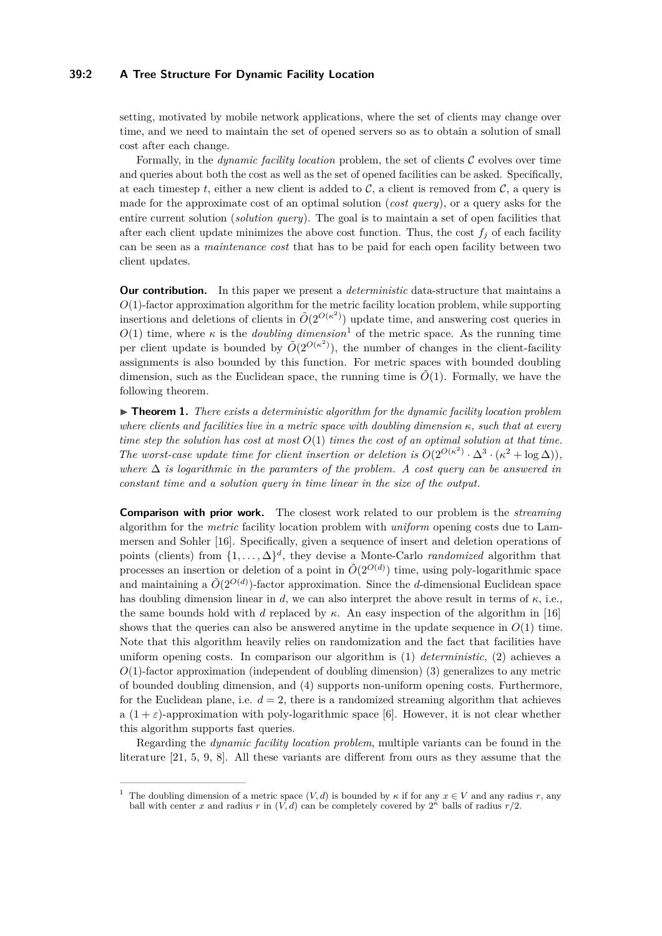# **39:2 A Tree Structure For Dynamic Facility Location**

setting, motivated by mobile network applications, where the set of clients may change over time, and we need to maintain the set of opened servers so as to obtain a solution of small cost after each change.

Formally, in the *dynamic facility location* problem, the set of clients C evolves over time and queries about both the cost as well as the set of opened facilities can be asked. Specifically, at each timestep *t*, either a new client is added to  $C$ , a client is removed from  $C$ , a query is made for the approximate cost of an optimal solution (*cost query*), or a query asks for the entire current solution (*solution query*). The goal is to maintain a set of open facilities that after each client update minimizes the above cost function. Thus, the cost  $f_j$  of each facility can be seen as a *maintenance cost* that has to be paid for each open facility between two client updates.

**Our contribution.** In this paper we present a *deterministic* data-structure that maintains a *O*(1)-factor approximation algorithm for the metric facility location problem, while supporting insertions and deletions of clients in  $\tilde{O}(2^{O(\kappa^2)})$  update time, and answering cost queries in  $O(1)$  $O(1)$  $O(1)$  time, where  $\kappa$  is the *doubling dimension*<sup>1</sup> of the metric space. As the running time per client update is bounded by  $\tilde{O}(2^{O(\kappa^2)})$ , the number of changes in the client-facility assignments is also bounded by this function. For metric spaces with bounded doubling dimension, such as the Euclidean space, the running time is  $\tilde{O}(1)$ . Formally, we have the following theorem.

<span id="page-1-1"></span>► **Theorem 1.** *There exists a deterministic algorithm for the dynamic facility location problem where clients and facilities live in a metric space with doubling dimension κ, such that at every time step the solution has cost at most O*(1) *times the cost of an optimal solution at that time. The worst-case update time for client insertion or deletion is*  $O(2^{O(\kappa^2)} \cdot \Delta^3 \cdot (\kappa^2 + \log \Delta))$ , *where*  $\Delta$  *is logarithmic in the paramters of the problem. A cost query can be answered in constant time and a solution query in time linear in the size of the output.*

**Comparison with prior work.** The closest work related to our problem is the *streaming* algorithm for the *metric* facility location problem with *uniform* opening costs due to Lammersen and Sohler [\[16\]](#page-12-13). Specifically, given a sequence of insert and deletion operations of points (clients) from  $\{1, \ldots, \Delta\}^d$ , they devise a Monte-Carlo *randomized* algorithm that processes an insertion or deletion of a point in  $O(2^{O(d)})$  time, using poly-logarithmic space and maintaining a  $\tilde{O}(2^{O(d)})$ -factor approximation. Since the *d*-dimensional Euclidean space has doubling dimension linear in *d*, we can also interpret the above result in terms of  $\kappa$ , i.e., the same bounds hold with *d* replaced by *κ*. An easy inspection of the algorithm in [\[16\]](#page-12-13) shows that the queries can also be answered anytime in the update sequence in  $O(1)$  time. Note that this algorithm heavily relies on randomization and the fact that facilities have uniform opening costs. In comparison our algorithm is (1) *deterministic*, (2) achieves a *O*(1)-factor approximation (independent of doubling dimension) (3) generalizes to any metric of bounded doubling dimension, and (4) supports non-uniform opening costs. Furthermore, for the Euclidean plane, i.e.  $d = 2$ , there is a randomized streaming algorithm that achieves a  $(1 + \varepsilon)$ -approximation with poly-logarithmic space [\[6\]](#page-12-14). However, it is not clear whether this algorithm supports fast queries.

Regarding the *dynamic facility location problem*, multiple variants can be found in the literature [\[21,](#page-12-15) [5,](#page-12-16) [9,](#page-12-17) [8\]](#page-12-18). All these variants are different from ours as they assume that the

<span id="page-1-0"></span><sup>&</sup>lt;sup>1</sup> The doubling dimension of a metric space  $(V, d)$  is bounded by  $\kappa$  if for any  $x \in V$  and any radius  $r$ , any ball with center *x* and radius *r* in  $(V, d)$  can be completely covered by  $2^k$  balls of radius  $r/2$ .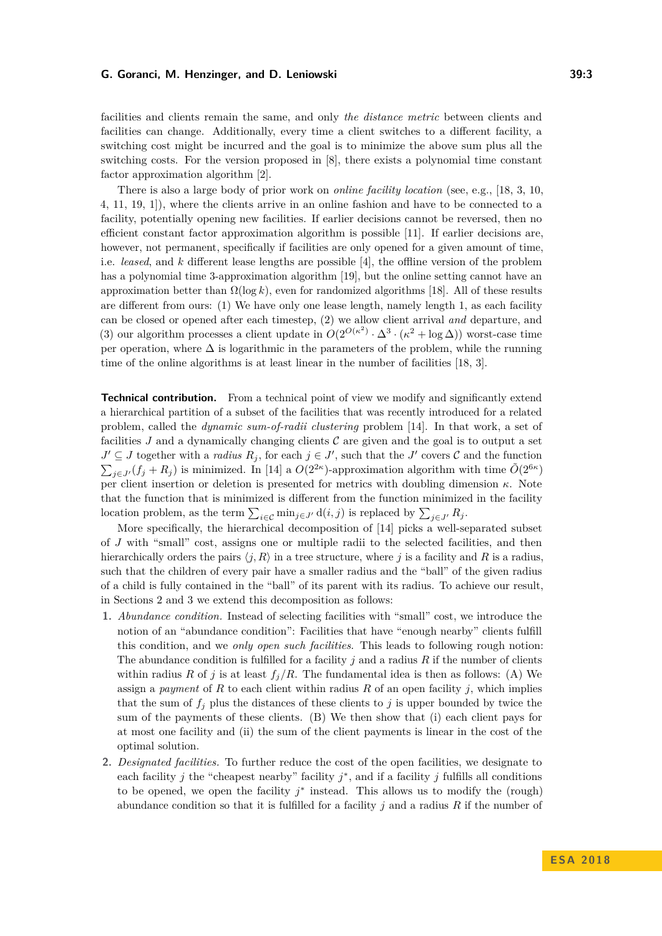facilities and clients remain the same, and only *the distance metric* between clients and facilities can change. Additionally, every time a client switches to a different facility, a switching cost might be incurred and the goal is to minimize the above sum plus all the switching costs. For the version proposed in [\[8\]](#page-12-18), there exists a polynomial time constant factor approximation algorithm [\[2\]](#page-12-20).

There is also a large body of prior work on *online facility location* (see, e.g., [\[18,](#page-12-4) [3,](#page-12-5) [10,](#page-12-6) [4,](#page-12-7) [11,](#page-12-8) [19,](#page-12-9) [1\]](#page-12-10)), where the clients arrive in an online fashion and have to be connected to a facility, potentially opening new facilities. If earlier decisions cannot be reversed, then no efficient constant factor approximation algorithm is possible [\[11\]](#page-12-8). If earlier decisions are, however, not permanent, specifically if facilities are only opened for a given amount of time, i.e. *leased*, and *k* different lease lengths are possible [\[4\]](#page-12-7), the offline version of the problem has a polynomial time 3-approximation algorithm [\[19\]](#page-12-9), but the online setting cannot have an approximation better than  $\Omega(\log k)$ , even for randomized algorithms [\[18\]](#page-12-4). All of these results are different from ours: (1) We have only one lease length, namely length 1, as each facility can be closed or opened after each timestep, (2) we allow client arrival *and* departure, and (3) our algorithm processes a client update in  $O(2^{O(\kappa^2)} \cdot \Delta^3 \cdot (\kappa^2 + \log \Delta))$  worst-case time per operation, where  $\Delta$  is logarithmic in the parameters of the problem, while the running time of the online algorithms is at least linear in the number of facilities [\[18,](#page-12-4) [3\]](#page-12-5).

**Technical contribution.** From a technical point of view we modify and significantly extend a hierarchical partition of a subset of the facilities that was recently introduced for a related problem, called the *dynamic sum-of-radii clustering* problem [\[14\]](#page-12-21). In that work, a set of facilities  $J$  and a dynamically changing clients  $\mathcal C$  are given and the goal is to output a set  $J' \subseteq J$  together with a *radius*  $R_j$ , for each  $j \in J'$ , such that the *J'* covers  $\mathcal C$  and the function  $\sum_{j\in J'}(f_j + R_j)$  is minimized. In [\[14\]](#page-12-21) a  $O(2^{2\kappa})$ -approximation algorithm with time  $\tilde{O}(2^{6\kappa})$ per client insertion or deletion is presented for metrics with doubling dimension *κ*. Note that the function that is minimized is different from the function minimized in the facility location problem, as the term  $\sum_{i \in \mathcal{C}} \min_{j \in J'} d(i,j)$  is replaced by  $\sum_{j \in J'} R_j$ .

More specifically, the hierarchical decomposition of [\[14\]](#page-12-21) picks a well-separated subset of *J* with "small" cost, assigns one or multiple radii to the selected facilities, and then hierarchically orders the pairs  $\langle j, R \rangle$  in a tree structure, where j is a facility and R is a radius, such that the children of every pair have a smaller radius and the "ball" of the given radius of a child is fully contained in the "ball" of its parent with its radius. To achieve our result, in Sections [2](#page-3-0) and [3](#page-6-0) we extend this decomposition as follows:

- **1.** *Abundance condition.* Instead of selecting facilities with "small" cost, we introduce the notion of an "abundance condition": Facilities that have "enough nearby" clients fulfill this condition, and we *only open such facilities*. This leads to following rough notion: The abundance condition is fulfilled for a facility  $j$  and a radius  $R$  if the number of clients within radius *R* of *j* is at least  $f_j/R$ . The fundamental idea is then as follows: (A) We assign a *payment* of  $R$  to each client within radius  $R$  of an open facility  $j$ , which implies that the sum of  $f_j$  plus the distances of these clients to  $j$  is upper bounded by twice the sum of the payments of these clients. (B) We then show that (i) each client pays for at most one facility and (ii) the sum of the client payments is linear in the cost of the optimal solution.
- **2.** *Designated facilities.* To further reduce the cost of the open facilities, we designate to each facility  $j$  the "cheapest nearby" facility  $j^*$ , and if a facility  $j$  fulfills all conditions to be opened, we open the facility  $j^*$  instead. This allows us to modify the (rough) abundance condition so that it is fulfilled for a facility *j* and a radius *R* if the number of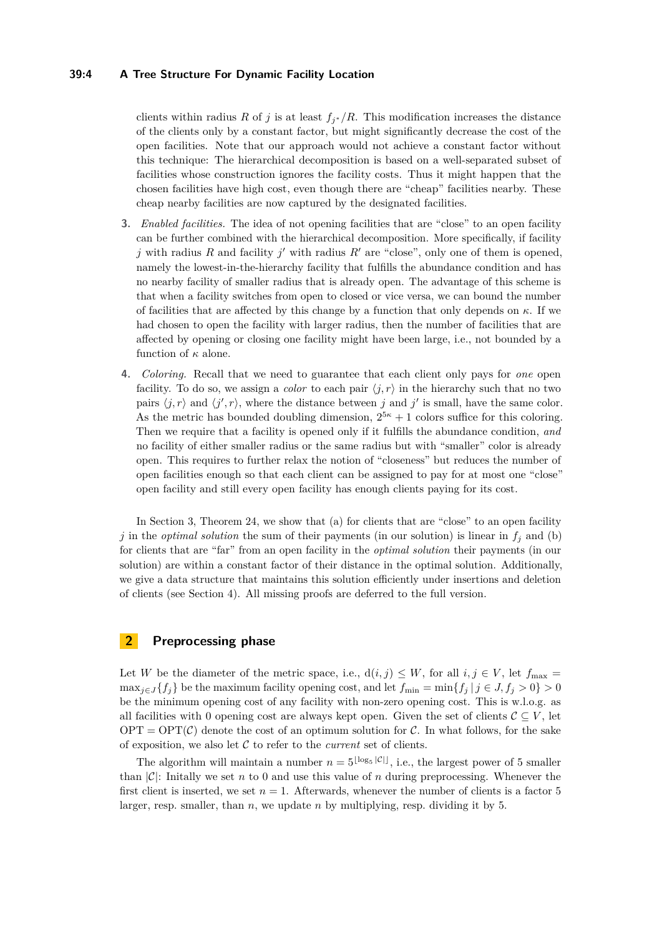# **39:4 A Tree Structure For Dynamic Facility Location**

clients within radius *R* of *j* is at least  $f_{j^*}/R$ . This modification increases the distance of the clients only by a constant factor, but might significantly decrease the cost of the open facilities. Note that our approach would not achieve a constant factor without this technique: The hierarchical decomposition is based on a well-separated subset of facilities whose construction ignores the facility costs. Thus it might happen that the chosen facilities have high cost, even though there are "cheap" facilities nearby. These cheap nearby facilities are now captured by the designated facilities.

- **3.** *Enabled facilities.* The idea of not opening facilities that are "close" to an open facility can be further combined with the hierarchical decomposition. More specifically, if facility *j* with radius *R* and facility *j'* with radius  $R'$  are "close", only one of them is opened, namely the lowest-in-the-hierarchy facility that fulfills the abundance condition and has no nearby facility of smaller radius that is already open. The advantage of this scheme is that when a facility switches from open to closed or vice versa, we can bound the number of facilities that are affected by this change by a function that only depends on  $\kappa$ . If we had chosen to open the facility with larger radius, then the number of facilities that are affected by opening or closing one facility might have been large, i.e., not bounded by a function of  $\kappa$  alone.
- **4.** *Coloring.* Recall that we need to guarantee that each client only pays for *one* open facility. To do so, we assign a *color* to each pair  $\langle j, r \rangle$  in the hierarchy such that no two pairs  $\langle j, r \rangle$  and  $\langle j', r \rangle$ , where the distance between *j* and *j'* is small, have the same color. As the metric has bounded doubling dimension,  $2^{5\kappa} + 1$  colors suffice for this coloring. Then we require that a facility is opened only if it fulfills the abundance condition, *and* no facility of either smaller radius or the same radius but with "smaller" color is already open. This requires to further relax the notion of "closeness" but reduces the number of open facilities enough so that each client can be assigned to pay for at most one "close" open facility and still every open facility has enough clients paying for its cost.

In Section [3,](#page-6-0) Theorem [24,](#page-9-0) we show that (a) for clients that are "close" to an open facility *j* in the *optimal solution* the sum of their payments (in our solution) is linear in  $f_i$  and (b) for clients that are "far" from an open facility in the *optimal solution* their payments (in our solution) are within a constant factor of their distance in the optimal solution. Additionally, we give a data structure that maintains this solution efficiently under insertions and deletion of clients (see Section [4\)](#page-10-0). All missing proofs are deferred to the full version.

# <span id="page-3-0"></span>**2 Preprocessing phase**

Let *W* be the diameter of the metric space, i.e.,  $d(i, j) \leq W$ , for all  $i, j \in V$ , let  $f_{\text{max}} =$  $\max_{i \in J} \{ f_i \}$  be the maximum facility opening cost, and let  $f_{\min} = \min \{ f_i | j \in J, f_i > 0 \} > 0$ be the minimum opening cost of any facility with non-zero opening cost. This is w.l.o.g. as all facilities with 0 opening cost are always kept open. Given the set of clients  $\mathcal{C} \subseteq V$ , let  $\text{OPT} = \text{OPT}(\mathcal{C})$  denote the cost of an optimum solution for  $\mathcal{C}$ . In what follows, for the sake of exposition, we also let  $C$  to refer to the *current* set of clients.

The algorithm will maintain a number  $n = 5^{\lfloor \log_5 |\mathcal{C}| \rfloor}$ , i.e., the largest power of 5 smaller than  $|\mathcal{C}|$ : Initially we set *n* to 0 and use this value of *n* during preprocessing. Whenever the first client is inserted, we set  $n = 1$ . Afterwards, whenever the number of clients is a factor 5 larger, resp. smaller, than *n*, we update *n* by multiplying, resp. dividing it by 5.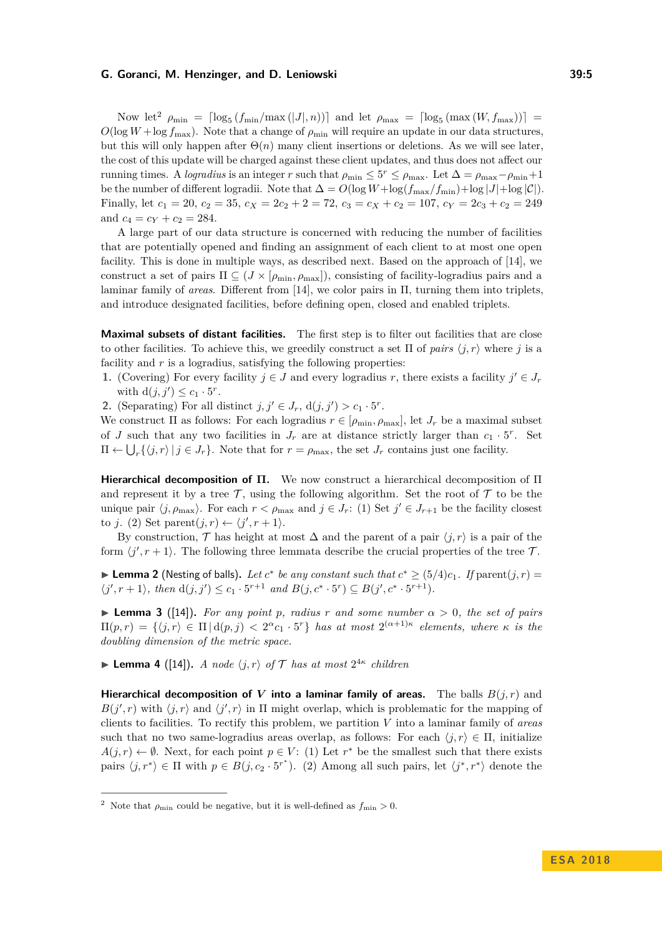Now let<sup>[2](#page-4-0)</sup>  $\rho_{\min} = \left[ \log_5 \left( f_{\min}/\max(|J|, n) \right) \right]$  and let  $\rho_{\max} = \left[ \log_5 \left( \max(W, f_{\max}) \right) \right]$  =  $O(\log W + \log f_{\max})$ . Note that a change of  $\rho_{\min}$  will require an update in our data structures, but this will only happen after  $\Theta(n)$  many client insertions or deletions. As we will see later, the cost of this update will be charged against these client updates, and thus does not affect our running times. A *logradius* is an integer *r* such that  $\rho_{\min} \leq 5^r \leq \rho_{\max}$ . Let  $\Delta = \rho_{\max} - \rho_{\min} + 1$ be the number of different logradii. Note that  $\Delta = O(\log W + \log(f_{\max}/f_{\min}) + \log |J| + \log |C|)$ . Finally, let  $c_1 = 20$ ,  $c_2 = 35$ ,  $c_X = 2c_2 + 2 = 72$ ,  $c_3 = c_X + c_2 = 107$ ,  $c_Y = 2c_3 + c_2 = 249$ and  $c_4 = c_7 + c_2 = 284$ .

A large part of our data structure is concerned with reducing the number of facilities that are potentially opened and finding an assignment of each client to at most one open facility. This is done in multiple ways, as described next. Based on the approach of [\[14\]](#page-12-21), we construct a set of pairs  $\Pi \subseteq (J \times [\rho_{\min}, \rho_{\max}])$ , consisting of facility-logradius pairs and a laminar family of *areas*. Different from [\[14\]](#page-12-21), we color pairs in Π, turning them into triplets, and introduce designated facilities, before defining open, closed and enabled triplets.

**Maximal subsets of distant facilities.** The first step is to filter out facilities that are close to other facilities. To achieve this, we greedily construct a set  $\Pi$  of *pairs*  $\langle j, r \rangle$  where *j* is a facility and  $r$  is a logradius, satisfying the following properties:

**1.** (Covering) For every facility  $j \in J$  and every logradius *r*, there exists a facility  $j' \in J_r$ with  $d(j, j') \le c_1 \cdot 5^r$ .

**2.** (Separating) For all distinct  $j, j' \in J_r$ ,  $d(j, j') > c_1 \cdot 5^r$ .

We construct  $\Pi$  as follows: For each logradius  $r \in [\rho_{\min}, \rho_{\max}]$ , let  $J_r$  be a maximal subset of *J* such that any two facilities in  $J_r$  are at distance strictly larger than  $c_1 \cdot 5^r$ . Set  $\Pi \leftarrow \bigcup_r \{ \langle j, r \rangle \mid j \in J_r \}.$  Note that for  $r = \rho_{\text{max}}$ , the set  $J_r$  contains just one facility.

**Hierarchical decomposition of Π.** We now construct a hierarchical decomposition of Π and represent it by a tree  $\mathcal{T}$ , using the following algorithm. Set the root of  $\mathcal{T}$  to be the unique pair  $\langle j, \rho_{\text{max}} \rangle$ . For each  $r < \rho_{\text{max}}$  and  $j \in J_r$ : (1) Set  $j' \in J_{r+1}$  be the facility closest to *j*. (2) Set parent $(j, r) \leftarrow \langle j', r + 1 \rangle$ .

By construction,  $\mathcal T$  has height at most  $\Delta$  and the parent of a pair  $\langle j, r \rangle$  is a pair of the form  $\langle j', r+1 \rangle$ . The following three lemmata describe the crucial properties of the tree  $\mathcal{T}$ .

<span id="page-4-2"></span>**Example 2** (Nesting of balls). Let  $c^*$  be any constant such that  $c^* \geq (5/4)c_1$ . If  $\text{parent}(j, r) =$  $\langle j', r+1 \rangle$ , then  $d(j, j') \leq c_1 \cdot 5^{r+1}$  and  $B(j, c^* \cdot 5^r) \subseteq B(j', c^* \cdot 5^{r+1})$ .

<span id="page-4-1"></span>**Lemma 3** ([\[14\]](#page-12-21)). For any point p, radius r and some number  $\alpha > 0$ , the set of pairs  $\Pi(p,r) = \{\langle j,r \rangle \in \Pi | d(p,j) < 2^{\alpha}c_1 \cdot 5^r \}$  has at most  $2^{(\alpha+1)\kappa}$  elements, where  $\kappa$  is the *doubling dimension of the metric space.*

<span id="page-4-3"></span>**Lemma 4** ([\[14\]](#page-12-21)). *A node*  $\langle j, r \rangle$  *of*  $\mathcal{T}$  *has at most*  $2^{4\kappa}$  *children* 

**Hierarchical decomposition of V into a laminar family of areas.** The balls  $B(i, r)$  and  $B(j', r)$  with  $\langle j, r \rangle$  and  $\langle j', r \rangle$  in  $\Pi$  might overlap, which is problematic for the mapping of clients to facilities. To rectify this problem, we partition *V* into a laminar family of *areas* such that no two same-logradius areas overlap, as follows: For each  $\langle j, r \rangle \in \Pi$ , initialize *A*(*j, r*) ← Ø. Next, for each point  $p \in V$ : (1) Let  $r^*$  be the smallest such that there exists pairs  $\langle j, r^* \rangle \in \Pi$  with  $p \in B(j, c_2 \cdot 5^{r^*})$ . (2) Among all such pairs, let  $\langle j^*, r^* \rangle$  denote the

<span id="page-4-0"></span><sup>&</sup>lt;sup>2</sup> Note that  $\rho_{\min}$  could be negative, but it is well-defined as  $f_{\min} > 0$ .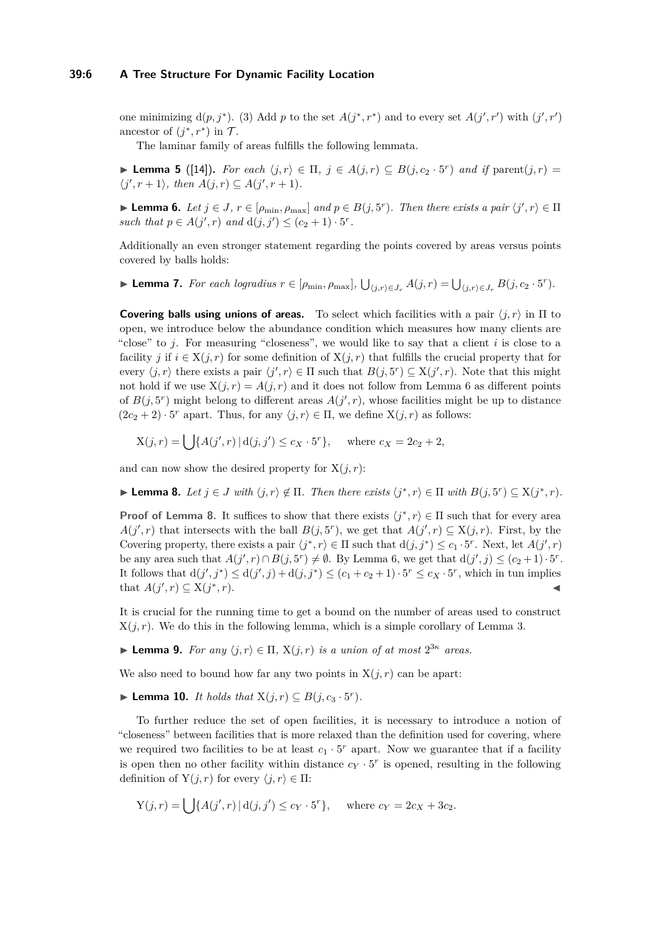# **39:6 A Tree Structure For Dynamic Facility Location**

one minimizing  $d(p, j^*)$ . (3) Add *p* to the set  $A(j^*, r^*)$  and to every set  $A(j', r')$  with  $(j', r')$ ancestor of  $(j^*, r^*)$  in  $\mathcal{T}$ .

The laminar family of areas fulfills the following lemmata.

▶ **Lemma 5** ([\[14\]](#page-12-21)). *For each*  $\langle j, r \rangle \in \Pi$ ,  $j \in A(j, r) \subseteq B(j, c_2 \cdot 5^r)$  *and if* parent $(j, r)$  =  $\langle j', r+1 \rangle$ , then  $A(j, r) \subseteq A(j', r+1)$ *.* 

<span id="page-5-0"></span>**Example 1.** Let  $j \in J$ ,  $r \in [\rho_{\min}, \rho_{\max}]$  and  $p \in B(j, 5^r)$ . Then there exists a pair  $\langle j', r \rangle \in \Pi$ *such that*  $p \in A(j', r)$  *and*  $d(j, j') \le (c_2 + 1) \cdot 5^r$ .

Additionally an even stronger statement regarding the points covered by areas versus points covered by balls holds:

► **Lemma 7.** *For each logradius*  $r \in [\rho_{\min}, \rho_{\max}]$ ,  $\bigcup_{\langle j,r \rangle \in J_r} A(j,r) = \bigcup_{\langle j,r \rangle \in J_r} B(j,c_2 \cdot 5^r)$ .

**Covering balls using unions of areas.** To select which facilities with a pair  $\langle j, r \rangle$  in  $\Pi$  to open, we introduce below the abundance condition which measures how many clients are "close" to *j*. For measuring "closeness", we would like to say that a client *i* is close to a facility *j* if  $i \in X(j, r)$  for some definition of  $X(j, r)$  that fulfills the crucial property that for every  $\langle j, r \rangle$  there exists a pair  $\langle j', r \rangle \in \Pi$  such that  $B(j, 5^r) \subseteq X(j', r)$ . Note that this might not hold if we use  $X(j, r) = A(j, r)$  and it does not follow from Lemma [6](#page-5-0) as different points of  $B(j, 5^r)$  might belong to different areas  $A(j', r)$ , whose facilities might be up to distance  $(2c_2 + 2) \cdot 5^r$  apart. Thus, for any  $\langle j, r \rangle \in \Pi$ , we define  $X(j, r)$  as follows:

$$
X(j,r) = \bigcup \{ A(j',r) \mid d(j,j') \le c_X \cdot 5^r \}, \text{ where } c_X = 2c_2 + 2,
$$

and can now show the desired property for  $X(j, r)$ :

<span id="page-5-1"></span>► **Lemma 8.** Let  $j \in J$  with  $\langle j, r \rangle \notin \Pi$ . Then there exists  $\langle j^*, r \rangle \in \Pi$  with  $B(j, 5^r) \subseteq X(j^*, r)$ .

**Proof of Lemma [8.](#page-5-1)** It suffices to show that there exists  $\langle j^*, r \rangle \in \Pi$  such that for every area  $A(j', r)$  that intersects with the ball  $B(j, 5^r)$ , we get that  $A(j', r) \subseteq X(j, r)$ . First, by the Covering property, there exists a pair  $\langle j^*, r \rangle \in \Pi$  such that  $d(j, j^*) \leq c_1 \cdot 5^r$ . Next, let  $A(j', r)$ be any area such that  $A(j', r) \cap B(j, 5^r) \neq \emptyset$ . By Lemma [6,](#page-5-0) we get that  $d(j', j) \leq (c_2 + 1) \cdot 5^r$ . It follows that  $d(j', j^*) \leq d(j', j) + d(j, j^*) \leq (c_1 + c_2 + 1) \cdot 5^r \leq c_X \cdot 5^r$ , which in tun implies that  $A(j', r) \subseteq X(j^*)$  $,r$ ).

It is crucial for the running time to get a bound on the number of areas used to construct  $X(j, r)$ . We do this in the following lemma, which is a simple corollary of Lemma [3.](#page-4-1)

**Lemma 9.** *For any*  $\langle j, r \rangle \in \Pi$ ,  $X(j, r)$  *is a union of at most*  $2^{3\kappa}$  *areas.* 

We also need to bound how far any two points in  $X(j, r)$  can be apart:

▶ **Lemma 10.** *It holds that*  $X(j,r) \subseteq B(j,c_3 \cdot 5^r)$ *.* 

To further reduce the set of open facilities, it is necessary to introduce a notion of "closeness" between facilities that is more relaxed than the definition used for covering, where we required two facilities to be at least  $c_1 \cdot 5^r$  apart. Now we guarantee that if a facility is open then no other facility within distance  $c_Y \cdot 5^r$  is opened, resulting in the following definition of  $Y(j, r)$  for every  $\langle j, r \rangle \in \Pi$ :

$$
Y(j,r) = \bigcup \{ A(j',r) \mid d(j,j') \le c_Y \cdot 5^r \}, \text{ where } c_Y = 2c_X + 3c_2.
$$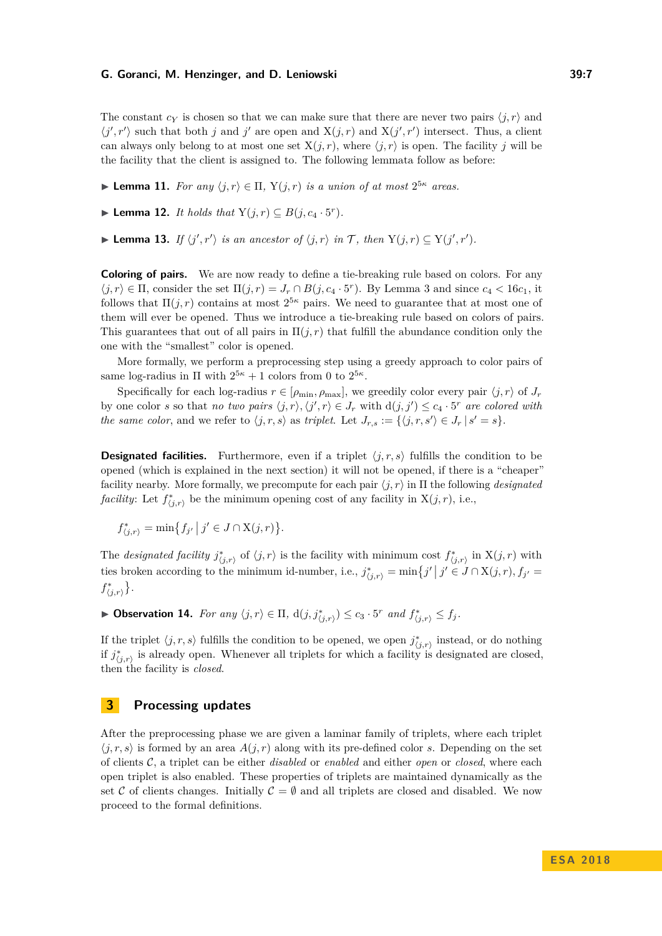The constant  $c_Y$  is chosen so that we can make sure that there are never two pairs  $\langle j, r \rangle$  and  $\langle j', r' \rangle$  such that both *j* and *j*' are open and  $X(j, r)$  and  $X(j', r')$  intersect. Thus, a client can always only belong to at most one set  $X(j, r)$ , where  $\langle j, r \rangle$  is open. The facility *j* will be the facility that the client is assigned to. The following lemmata follow as before:

**Lemma 11.** *For any*  $\langle j, r \rangle \in \Pi$ ,  $Y(j, r)$  *is a union of at most*  $2^{5\kappa}$  *areas.* 

▶ **Lemma 12.** *It holds that*  $Y(j,r) \subseteq B(j, c_4 \cdot 5^r)$ *.* 

<span id="page-6-1"></span>▶ **Lemma 13.** *If*  $\langle j', r' \rangle$  *is an ancestor of*  $\langle j, r \rangle$  *in*  $\mathcal{T}$ *, then* Y(*j, r*) ⊆ Y(*j', r'*)*.* 

**Coloring of pairs.** We are now ready to define a tie-breaking rule based on colors. For any  $\langle j, r \rangle \in \Pi$ , consider the set  $\Pi(j, r) = J_r \cap B(j, c_4 \cdot 5^r)$ . By Lemma [3](#page-4-1) and since  $c_4 < 16c_1$ , it follows that  $\Pi(j, r)$  contains at most  $2^{5\kappa}$  pairs. We need to guarantee that at most one of them will ever be opened. Thus we introduce a tie-breaking rule based on colors of pairs. This guarantees that out of all pairs in  $\Pi(j, r)$  that fulfill the abundance condition only the one with the "smallest" color is opened.

More formally, we perform a preprocessing step using a greedy approach to color pairs of same log-radius in  $\Pi$  with  $2^{5\kappa} + 1$  colors from 0 to  $2^{5\kappa}$ .

Specifically for each log-radius  $r \in [\rho_{\min}, \rho_{\max}]$ , we greedily color every pair  $\langle j, r \rangle$  of  $J_r$ by one color *s* so that *no two pairs*  $\langle j, r \rangle, \langle j', r \rangle \in J_r$  with  $d(j, j') \le c_4 \cdot 5^r$  *are colored with the same color*, and we refer to  $\langle j, r, s \rangle$  as *triplet*. Let  $J_{r,s} := \{\langle j, r, s' \rangle \in J_r | s' = s\}.$ 

**Designated facilities.** Furthermore, even if a triplet  $\langle j, r, s \rangle$  fulfills the condition to be opened (which is explained in the next section) it will not be opened, if there is a "cheaper" facility nearby. More formally, we precompute for each pair  $\langle j, r \rangle$  in  $\Pi$  the following *designated facility*: Let  $f^*_{\langle j,r \rangle}$  be the minimum opening cost of any facility in  $X(j,r)$ , i.e.,

$$
f_{\langle j,r\rangle}^* = \min\bigl\{f_{j'}\,\big|\,j'\in J\cap {\rm X}(j,r)\bigr\}.
$$

The *designated facility*  $j^*_{(j,r)}$  of  $\langle j, r \rangle$  is the facility with minimum cost  $f^*_{(j,r)}$  in  $X(j,r)$  with ties broken according to the minimum id-number, i.e.,  $j^*_{\langle j,r\rangle} = \min\{j' \mid j' \in J \cap X(j,r), f_{j'} = 0\}$  $f^*_{\langle j,r\rangle}$ .

▶ Observation 14. *For any*  $\langle j, r \rangle$  ∈  $\Pi$ ,  $d(j, j^*_{(j,r)})$  ≤  $c_3 \cdot 5^r$  *and*  $f^*_{(j,r)}$  ≤  $f_j$ .

If the triplet  $\langle j, r, s \rangle$  fulfills the condition to be opened, we open  $j^*_{\langle j, r \rangle}$  instead, or do nothing if  $j^*_{\langle j,r\rangle}$  is already open. Whenever all triplets for which a facility is designated are closed, then the facility is *closed*.

# <span id="page-6-0"></span>**3 Processing updates**

After the preprocessing phase we are given a laminar family of triplets, where each triplet  $\langle j, r, s \rangle$  is formed by an area  $A(j, r)$  along with its pre-defined color *s*. Depending on the set of clients C, a triplet can be either *disabled* or *enabled* and either *open* or *closed*, where each open triplet is also enabled. These properties of triplets are maintained dynamically as the set C of clients changes. Initially  $C = \emptyset$  and all triplets are closed and disabled. We now proceed to the formal definitions.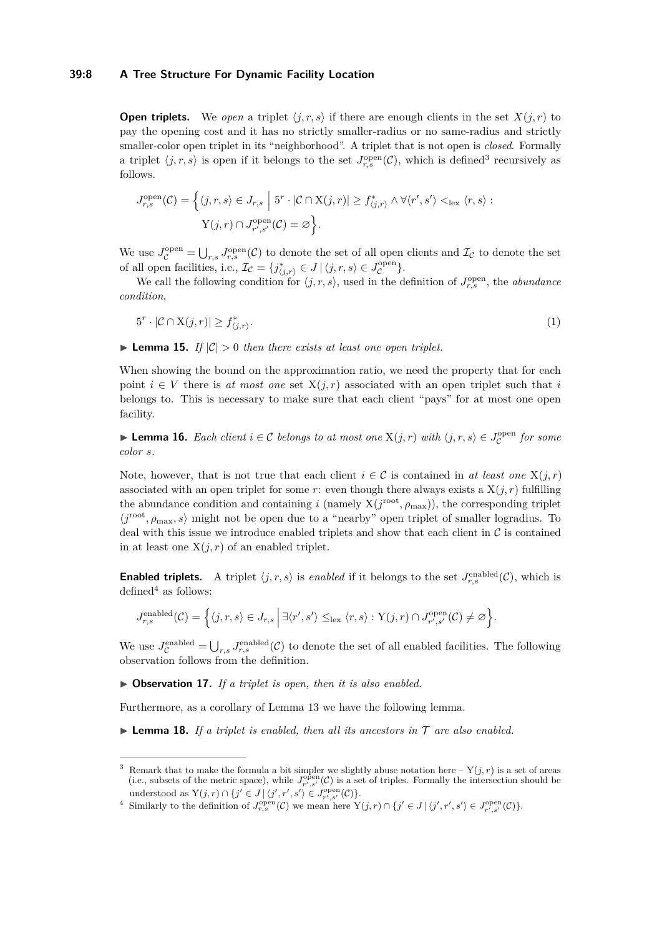## **39:8 A Tree Structure For Dynamic Facility Location**

**Open triplets.** We *open* a triplet  $\langle j, r, s \rangle$  if there are enough clients in the set  $X(j, r)$  to pay the opening cost and it has no strictly smaller-radius or no same-radius and strictly smaller-color open triplet in its "neighborhood". A triplet that is not open is *closed*. Formally a triplet  $\langle j, r, s \rangle$  is open if it belongs to the set  $J_{r,s}^{\text{open}}(\mathcal{C})$ , which is defined<sup>[3](#page-7-0)</sup> recursively as follows.

$$
J_{r,s}^{\text{open}}(\mathcal{C}) = \left\{ \langle j, r, s \rangle \in J_{r,s} \mid 5^r \cdot |\mathcal{C} \cap X(j,r)| \ge f_{\langle j,r \rangle}^* \wedge \forall \langle r', s' \rangle <_{\text{lex}} \langle r, s \rangle : \right\}
$$

$$
Y(j,r) \cap J_{r',s'}^{\text{open}}(\mathcal{C}) = \varnothing \right\}.
$$

We use  $J_{\mathcal{C}}^{\text{open}} = \bigcup_{r,s} J_{r,s}^{\text{open}}(\mathcal{C})$  to denote the set of all open clients and  $\mathcal{I}_{\mathcal{C}}$  to denote the set of all open facilities, i.e.,  $\mathcal{I}_{\mathcal{C}} = \{j^*_{\langle j,r\rangle} \in J \,|\, \langle j,r,s \rangle \in J_{\mathcal{C}}^{\text{open}}\}.$ 

We call the following condition for  $\langle j, r, s \rangle$ , used in the definition of  $J_{r,s}^{\text{open}}$ , the *abundance condition*,

$$
5^r \cdot |\mathcal{C} \cap X(j,r)| \ge f_{\langle j,r \rangle}^*.
$$
 (1)

<span id="page-7-2"></span>**Lemma 15.** *If*  $|C| > 0$  *then there exists at least one open triplet.* 

When showing the bound on the approximation ratio, we need the property that for each point  $i \in V$  there is *at most one* set  $X(i, r)$  associated with an open triplet such that *i* belongs to. This is necessary to make sure that each client "pays" for at most one open facility.

**► Lemma 16.** *Each client*  $i \in \mathcal{C}$  *belongs to at most one*  $X(j, r)$  *with*  $\langle j, r, s \rangle \in J_{\mathcal{C}}^{\text{open}}$  *for some color s.*

Note, however, that is not true that each client  $i \in \mathcal{C}$  is contained in *at least one*  $X(j, r)$ associated with an open triplet for some  $r$ : even though there always exists a  $X(j, r)$  fulfilling the abundance condition and containing *i* (namely  $X(j^{\text{root}}, \rho_{\text{max}})$ ), the corresponding triplet  $\langle j^{\text{root}}, \rho_{\text{max}}, s \rangle$  might not be open due to a "nearby" open triplet of smaller logradius. To deal with this issue we introduce enabled triplets and show that each client in  $\mathcal C$  is contained in at least one  $X(j, r)$  of an enabled triplet.

**Enabled triplets.** A triplet  $\langle j, r, s \rangle$  is *enabled* if it belongs to the set  $J_{r,s}^{\text{enabled}}(\mathcal{C})$ , which is  $defined<sup>4</sup>$  $defined<sup>4</sup>$  $defined<sup>4</sup>$  as follows:

$$
J_{r,s}^{\text{enabeled}}(\mathcal{C}) = \left\{ \langle j, r, s \rangle \in J_{r,s} \, \middle| \, \exists \langle r', s' \rangle \leq_{\text{lex}} \langle r, s \rangle : Y(j,r) \cap J_{r',s'}^{\text{open}}(\mathcal{C}) \neq \varnothing \right\}.
$$

We use  $J_{\mathcal{C}}^{\text{enabled}} = \bigcup_{r,s} J_{r,s}^{\text{enabled}}(\mathcal{C})$  to denote the set of all enabled facilities. The following observation follows from the definition.

<span id="page-7-3"></span> $\triangleright$  **Observation 17.** *If a triplet is open, then it is also enabled.* 

Furthermore, as a corollary of Lemma [13](#page-6-1) we have the following lemma.

<span id="page-7-4"></span> $\triangleright$  **Lemma 18.** *If a triplet is enabled, then all its ancestors in*  $\mathcal T$  *are also enabled.* 

<span id="page-7-0"></span><sup>&</sup>lt;sup>3</sup> Remark that to make the formula a bit simpler we slightly abuse notation here  $-Y(j, r)$  is a set of areas (i.e., subsets of the metric space), while  $J_{r',s'}^{\text{open}}(\mathcal{C})$  is a set of triples. Formally the intersection should be understood as  $Y(j, r) \cap \{j' \in J \mid \langle j', r', s' \rangle \in J_{r', s'}^{\text{open}}(\mathcal{C})\}.$ 

<span id="page-7-1"></span><sup>&</sup>lt;sup>4</sup> Similarly to the definition of  $J_{r,s}^{\text{open}}(\mathcal{C})$  we mean here  $Y(j,r) \cap \{j' \in J \mid \langle j',r',s' \rangle \in J_{r',s'}^{\text{open}}(\mathcal{C})\}.$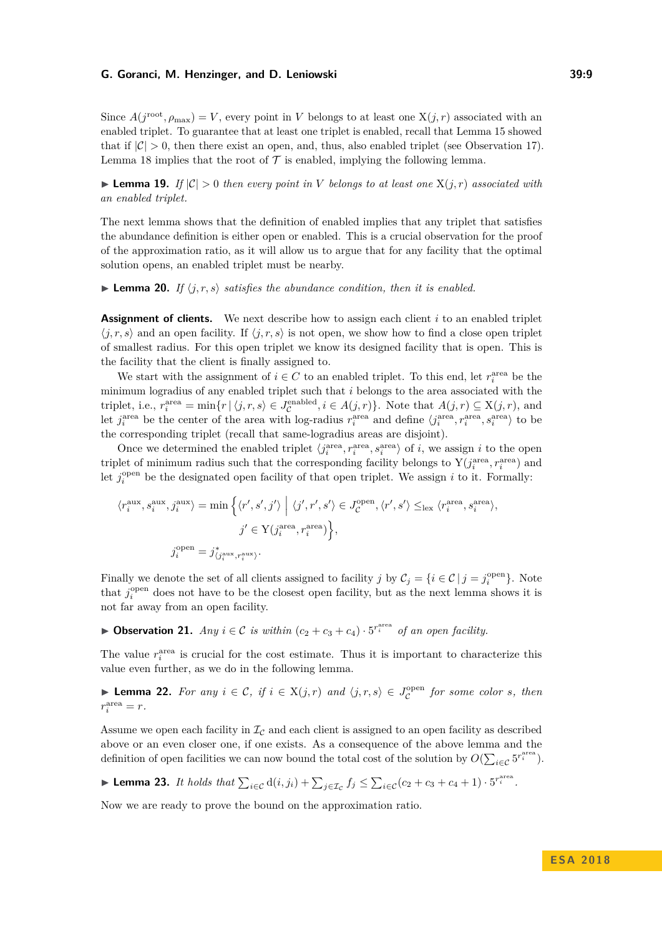Since  $A(j^{\text{root}}, \rho_{\text{max}}) = V$ , every point in *V* belongs to at least one  $X(j, r)$  associated with an enabled triplet. To guarantee that at least one triplet is enabled, recall that Lemma [15](#page-7-2) showed that if  $|\mathcal{C}| > 0$ , then there exist an open, and, thus, also enabled triplet (see Observation [17\)](#page-7-3). Lemma [18](#page-7-4) implies that the root of  $\mathcal T$  is enabled, implying the following lemma.

**Lemma 19.** *If*  $|C| > 0$  *then every point in V belongs to at least one*  $X(j, r)$  *associated with an enabled triplet.*

The next lemma shows that the definition of enabled implies that any triplet that satisfies the abundance definition is either open or enabled. This is a crucial observation for the proof of the approximation ratio, as it will allow us to argue that for any facility that the optimal solution opens, an enabled triplet must be nearby.

<span id="page-8-1"></span>**Lemma 20.** *If*  $\langle j, r, s \rangle$  *satisfies the abundance condition, then it is enabled.* 

**Assignment of clients.** We next describe how to assign each client *i* to an enabled triplet  $\langle j, r, s \rangle$  and an open facility. If  $\langle j, r, s \rangle$  is not open, we show how to find a close open triplet of smallest radius. For this open triplet we know its designed facility that is open. This is the facility that the client is finally assigned to.

We start with the assignment of  $i \in C$  to an enabled triplet. To this end, let  $r_i^{\text{area}}$  be the minimum logradius of any enabled triplet such that *i* belongs to the area associated with the triplet, i.e.,  $r_i^{\text{area}} = \min\{r \mid \langle j, r, s \rangle \in J_{\mathcal{C}}^{\text{enabled}}, i \in A(j, r)\}.$  Note that  $A(j, r) \subseteq X(j, r)$ , and let  $j_i^{\text{area}}$  be the center of the area with log-radius  $r_i^{\text{area}}$  and define  $\langle j_i^{\text{area}}, r_i^{\text{area}}, s_i^{\text{area}} \rangle$  to be the corresponding triplet (recall that same-logradius areas are disjoint).

Once we determined the enabled triplet  $\langle j_i^{\text{area}}, r_i^{\text{area}}, s_i^{\text{area}} \rangle$  of *i*, we assign *i* to the open triplet of minimum radius such that the corresponding facility belongs to  $Y(j_i^{\text{area}}, r_i^{\text{area}})$  and let  $j_i^{\text{open}}$  be the designated open facility of that open triplet. We assign *i* to it. Formally:

$$
\langle r_i^{\text{aux}}, s_i^{\text{aux}}, j_i^{\text{aux}} \rangle = \min \left\{ \langle r', s', j' \rangle \middle| \langle j', r', s' \rangle \in J_C^{\text{open}}, \langle r', s' \rangle \leq_{\text{lex}} \langle r_i^{\text{area}}, s_i^{\text{area}} \rangle, \right. \\
\left. j' \in Y(j_i^{\text{area}}, r_i^{\text{area}}) \right\}, \\
j_i^{\text{open}} = j_{\langle j_i^{\text{aux}}, r_i^{\text{aux}} \rangle}^*,
$$

Finally we denote the set of all clients assigned to facility *j* by  $\mathcal{C}_j = \{i \in \mathcal{C} \mid j = j_i^{\text{open}}\}$ . Note that  $j_i^{\text{open}}$  does not have to be the closest open facility, but as the next lemma shows it is not far away from an open facility.

▶ Observation 21. *Any*  $i \in \mathcal{C}$  *is within*  $(c_2 + c_3 + c_4) \cdot 5^{r_i^{\text{area}}}$  *of an open facility.* 

The value  $r_i^{\text{area}}$  is crucial for the cost estimate. Thus it is important to characterize this value even further, as we do in the following lemma.

► **Lemma 22.** *For any*  $i \in \mathcal{C}$ *, if*  $i \in X(j,r)$  *and*  $\langle j, r, s \rangle \in J_{\mathcal{C}}^{\text{open}}$  *for some color s, then*  $r_i^{\text{area}} = r.$ 

Assume we open each facility in  $\mathcal{I}_c$  and each client is assigned to an open facility as described above or an even closer one, if one exists. As a consequence of the above lemma and the definition of open facilities we can now bound the total cost of the solution by  $O(\sum_{i\in\mathcal{C}} 5^{r_i^{\text{area}}})$ .

<span id="page-8-0"></span>► Lemma 23. *It holds that*  $\sum_{i \in \mathcal{C}} d(i, j_i) + \sum_{j \in \mathcal{I}_{\mathcal{C}}} f_j \leq \sum_{i \in \mathcal{C}} (c_2 + c_3 + c_4 + 1) \cdot 5^{r_i^{\text{area}}}$ .

Now we are ready to prove the bound on the approximation ratio.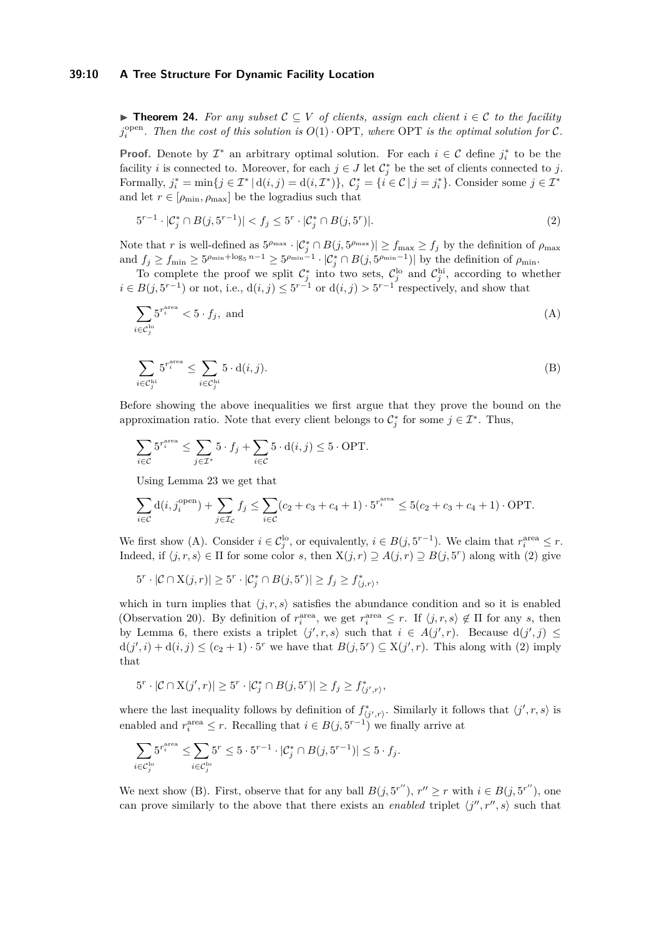#### **39:10 A Tree Structure For Dynamic Facility Location**

<span id="page-9-0"></span>**► Theorem 24.** For any subset  $C \subseteq V$  of clients, assign each client  $i \in C$  to the facility  $j_i^{\text{open}}$ . Then the cost of this solution is  $O(1) \cdot \text{OPT}$ , where OPT is the optimal solution for C.

**Proof.** Denote by  $\mathcal{I}^*$  an arbitrary optimal solution. For each  $i \in \mathcal{C}$  define  $j_i^*$  to be the facility *i* is connected to. Moreover, for each  $j \in J$  let  $C_j^*$  be the set of clients connected to *j*. Formally,  $j_i^* = \min\{j \in \mathcal{I}^* \mid d(i, j) = d(i, \mathcal{I}^*)\},\ C_j^* = \{i \in \mathcal{C} \mid j = j_i^*\}.$  Consider some  $j \in \mathcal{I}^*$ and let  $r \in [\rho_{\min}, \rho_{\max}]$  be the logradius such that

<span id="page-9-2"></span>
$$
5^{r-1} \cdot |\mathcal{C}_j^* \cap B(j, 5^{r-1})| < f_j \le 5^r \cdot |\mathcal{C}_j^* \cap B(j, 5^r)|. \tag{2}
$$

Note that *r* is well-defined as  $5^{\rho_{\max}} \cdot |\mathcal{C}^*_j \cap B(j, 5^{\rho_{\max}})| \ge f_{\max} \ge f_j$  by the definition of  $\rho_{\max}$  $\text{and } f_j \geq f_{\min} \geq 5^{\rho_{\min} + \log_5 n - 1} \geq 5^{\rho_{\min} - 1} \cdot |\mathcal{C}^*_j \cap B(j, 5^{\rho_{\min} - 1})|$  by the definition of  $\rho_{\min}$ .

To complete the proof we split  $\mathcal{C}_j^*$  into two sets,  $\mathcal{C}_j^{\text{lo}}$  and  $\mathcal{C}_j^{\text{hi}}$ , according to whether  $i \in B(j, 5^{r-1})$  or not, i.e.,  $d(i, j) \leq 5^{r-1}$  or  $d(i, j) > 5^{r-1}$  respectively, and show that

<span id="page-9-1"></span>
$$
\sum_{i \in C_j^{\text{loc}}} 5^{r_i^{\text{area}}} < 5 \cdot f_j, \text{ and} \tag{A}
$$

<span id="page-9-3"></span>
$$
\sum_{i \in \mathcal{C}_j^{\text{hi}}} 5^{r_i^{\text{area}}} \le \sum_{i \in \mathcal{C}_j^{\text{hi}}} 5 \cdot d(i, j). \tag{B}
$$

Before showing the above inequalities we first argue that they prove the bound on the approximation ratio. Note that every client belongs to  $\mathcal{C}_j^*$  for some  $j \in \mathcal{I}^*$ . Thus,

$$
\sum_{i \in \mathcal{C}} 5^{r_i^{\text{area}}} \le \sum_{j \in \mathcal{I}^*} 5 \cdot f_j + \sum_{i \in \mathcal{C}} 5 \cdot d(i, j) \le 5 \cdot \text{OPT}.
$$

Using Lemma [23](#page-8-0) we get that

$$
\sum_{i \in \mathcal{C}} d(i, j_i^{\text{open}}) + \sum_{j \in \mathcal{I}_{\mathcal{C}}} f_j \le \sum_{i \in \mathcal{C}} (c_2 + c_3 + c_4 + 1) \cdot 5^{r_i^{\text{area}}} \le 5(c_2 + c_3 + c_4 + 1) \cdot \text{OPT}.
$$

We first show [\(A\)](#page-9-1). Consider  $i \in C_j^{\text{lo}}$ , or equivalently,  $i \in B(j, 5^{r-1})$ . We claim that  $r_i^{\text{area}} \leq r$ . Indeed, if  $\langle j, r, s \rangle \in \Pi$  for some color *s*, then  $X(j, r) \supseteq A(j, r) \supseteq B(j, 5^r)$  along with [\(2\)](#page-9-2) give

$$
5^r \cdot |\mathcal{C} \cap X(j,r)| \ge 5^r \cdot |\mathcal{C}_j^* \cap B(j,5^r)| \ge f_j \ge f_{\langle j,r \rangle}^*,
$$

which in turn implies that  $\langle j, r, s \rangle$  satisfies the abundance condition and so it is enabled (Observation [20\)](#page-8-1). By definition of  $r_i^{\text{area}}$ , we get  $r_i^{\text{area}} \leq r$ . If  $\langle j, r, s \rangle \notin \Pi$  for any *s*, then by Lemma [6,](#page-5-0) there exists a triplet  $\langle j', r, s \rangle$  such that  $i \in A(j', r)$ . Because  $d(j', j) \leq$  $d(j', i) + d(i, j) \leq (c_2 + 1) \cdot 5^r$  we have that  $B(j, 5^r) \subseteq X(j', r)$ . This along with [\(2\)](#page-9-2) imply that

$$
5^r \cdot |\mathcal{C} \cap X(j',r)| \ge 5^r \cdot |\mathcal{C}_j^* \cap B(j,5^r)| \ge f_j \ge f_{\langle j',r \rangle}^*,
$$

where the last inequality follows by definition of  $f^*_{\langle j',r\rangle}$ . Similarly it follows that  $\langle j',r,s\rangle$  is enabled and  $r_i^{\text{area}} \leq r$ . Recalling that  $i \in B(j, 5^{r-1})$  we finally arrive at

$$
\sum_{i \in \mathcal{C}_j^{\text{lo}}} 5^{r_i^{\text{area}}} \le \sum_{i \in \mathcal{C}_j^{\text{lo}}} 5^r \le 5 \cdot 5^{r-1} \cdot |\mathcal{C}_j^* \cap B(j, 5^{r-1})| \le 5 \cdot f_j.
$$

We next show [\(B\)](#page-9-3). First, observe that for any ball  $B(j, 5^{r''})$ ,  $r'' \geq r$  with  $i \in B(j, 5^{r''})$ , one can prove similarly to the above that there exists an *enabled* triplet  $\langle j'', r'', s \rangle$  such that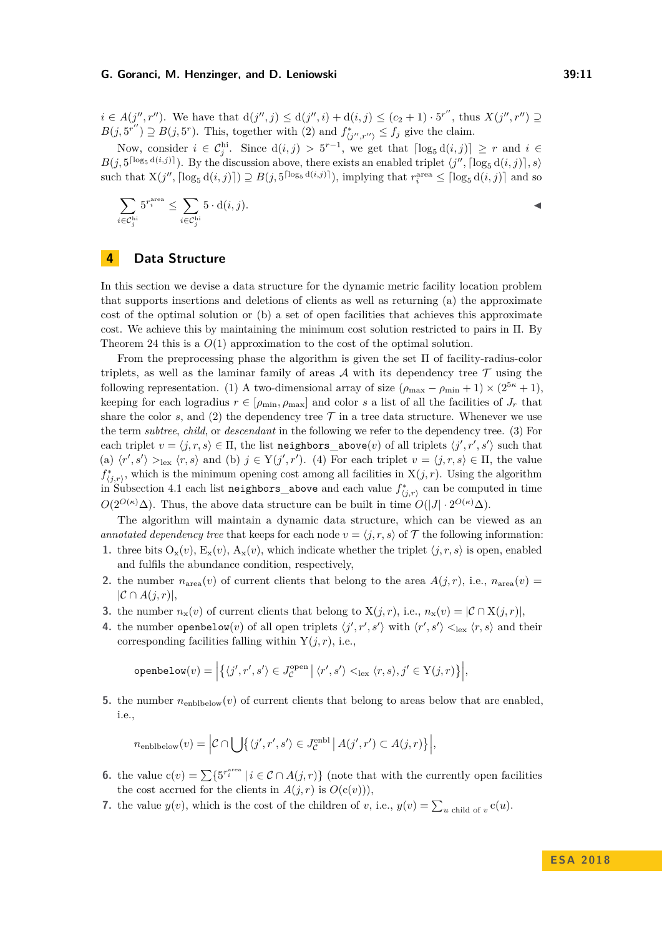*i* ∈ *A*(*j''*, *r''*). We have that  $d(j'', j) \le d(j'', i) + d(i, j) \le (c_2 + 1) \cdot 5^{r''}$ , thus  $X(j'', r'') \supseteq$  $B(j, 5^{r''}) \supseteq B(j, 5^r)$ . This, together with [\(2\)](#page-9-2) and  $f^*_{\langle j'',r'' \rangle} \leq f_j$  give the claim.

Now, consider  $i \in C_j^{\text{hi}}$ . Since  $d(i,j) > 5^{r-1}$ , we get that  $\lceil \log_5 d(i,j) \rceil \geq r$  and  $i \in$  $B(j, 5^{\lceil \log_5 d(i,j) \rceil})$ . By the discussion above, there exists an enabled triplet  $\langle j'', \lceil \log_5 d(i,j) \rceil, s$ such that  $X(j'', \lceil \log_5 d(i,j) \rceil) \supseteq B(j, 5^{\lceil \log_5 d(i,j) \rceil})$ , implying that  $r_i^{\text{area}} \leq \lceil \log_5 d(i,j) \rceil$  and so

$$
\sum_{i \in \mathcal{C}_j^{\text{hi}}} 5^{r_i^{\text{area}}} \le \sum_{i \in \mathcal{C}_j^{\text{hi}}} 5 \cdot d(i, j).
$$

## <span id="page-10-0"></span>**4 Data Structure**

In this section we devise a data structure for the dynamic metric facility location problem that supports insertions and deletions of clients as well as returning (a) the approximate cost of the optimal solution or (b) a set of open facilities that achieves this approximate cost. We achieve this by maintaining the minimum cost solution restricted to pairs in Π. By Theorem [24](#page-9-0) this is a *O*(1) approximation to the cost of the optimal solution.

From the preprocessing phase the algorithm is given the set  $\Pi$  of facility-radius-color triplets, as well as the laminar family of areas  $A$  with its dependency tree  $\mathcal T$  using the following representation. (1) A two-dimensional array of size  $(\rho_{\text{max}} - \rho_{\text{min}} + 1) \times (2^{5\kappa} + 1)$ , keeping for each logradius  $r \in [\rho_{\min}, \rho_{\max}]$  and color *s* a list of all the facilities of  $J_r$  that share the color  $s$ , and (2) the dependency tree  $\mathcal T$  in a tree data structure. Whenever we use the term *subtree*, *child*, or *descendant* in the following we refer to the dependency tree. (3) For each triplet  $v = \langle j, r, s \rangle \in \Pi$ , the list neighbors\_above $(v)$  of all triplets  $\langle j', r', s' \rangle$  such that (a)  $\langle r', s' \rangle >_{\text{lex}} \langle r, s \rangle$  and (b)  $j \in Y(j', r')$ . (4) For each triplet  $v = \langle j, r, s \rangle \in \Pi$ , the value  $f^*_{(j,r)}$ , which is the minimum opening cost among all facilities in  $X(j,r)$ . Using the algorithm in Subsection [4.1](#page-11-0) each list neighbors\_above and each value  $f^*_{\langle j,r\rangle}$  can be computed in time  $O(2^{O(\kappa)}\Delta)$ . Thus, the above data structure can be built in time  $O(|J| \cdot 2^{O(\kappa)}\Delta)$ .

The algorithm will maintain a dynamic data structure, which can be viewed as an *annotated dependency tree* that keeps for each node  $v = \langle j, r, s \rangle$  of T the following information:

- **1.** three bits  $O_x(v)$ ,  $E_x(v)$ ,  $A_x(v)$ , which indicate whether the triplet  $\langle j, r, s \rangle$  is open, enabled and fulfils the abundance condition, respectively,
- **2.** the number  $n_{area}(v)$  of current clients that belong to the area  $A(j, r)$ , i.e.,  $n_{area}(v)$  $|\mathcal{C} \cap A(i,r)|$ ,
- **3.** the number  $n_x(v)$  of current clients that belong to  $X(j, r)$ , i.e.,  $n_x(v) = |\mathcal{C} \cap X(j, r)|$ ,
- **4.** the number openbelow(*v*) of all open triplets  $\langle j', r', s' \rangle$  with  $\langle r', s' \rangle <sub>lex</sub> \langle r, s \rangle$  and their corresponding facilities falling within  $Y(j, r)$ , i.e.,

$$
\texttt{openbelow}(v) = \Big|\big\{\langle j', r', s' \rangle \in J_{\mathcal{C}}^{\text{open}} \big| \langle r', s' \rangle <_{\text{lex}} \langle r, s \rangle, j' \in \mathrm{Y}(j, r) \big\}\Big|,
$$

5. the number  $n_{\text{enblbelow}}(v)$  of current clients that belong to areas below that are enabled, i.e.,

$$
n_{\text{enblbelow}}(v) = \left| \mathcal{C} \cap \bigcup \{ \langle j', r', s' \rangle \in J_C^{\text{enbl}} \, \big| \, A(j', r') \subset A(j, r) \} \right|,
$$

- **6.** the value  $c(v) = \sum \{5^{r_i^{\text{area}}} | i \in C \cap A(j,r)\}$  (note that with the currently open facilities the cost accrued for the clients in  $A(j, r)$  is  $O(c(v))$ ,
- **7.** the value  $y(v)$ , which is the cost of the children of *v*, i.e.,  $y(v) = \sum_{u \text{ child of } v} c(u)$ .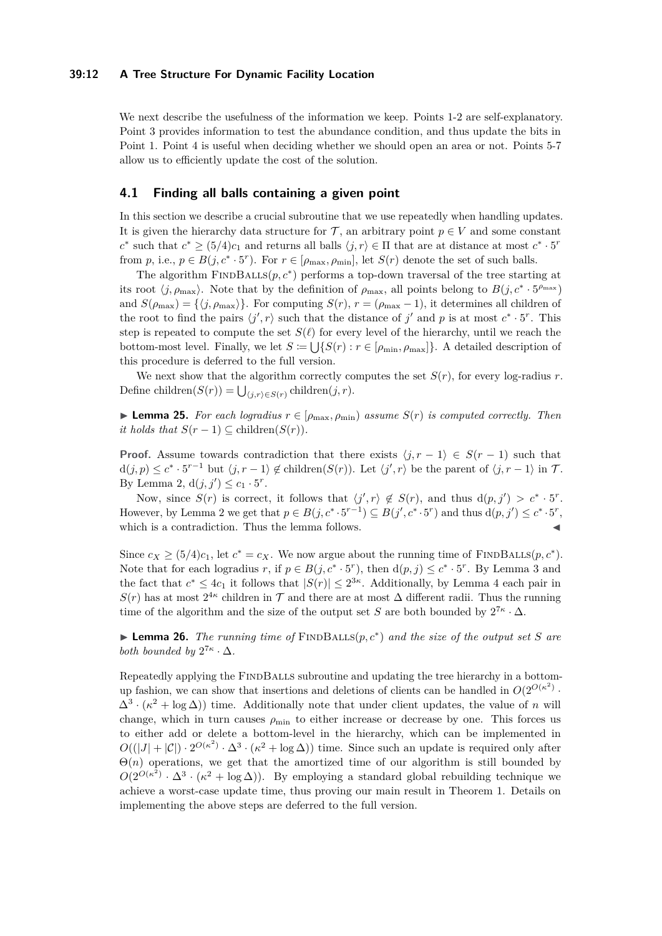#### **39:12 A Tree Structure For Dynamic Facility Location**

We next describe the usefulness of the information we keep. Points 1-2 are self-explanatory. Point 3 provides information to test the abundance condition, and thus update the bits in Point 1. Point 4 is useful when deciding whether we should open an area or not. Points 5-7 allow us to efficiently update the cost of the solution.

## <span id="page-11-0"></span>**4.1 Finding all balls containing a given point**

In this section we describe a crucial subroutine that we use repeatedly when handling updates. It is given the hierarchy data structure for  $\mathcal{T}$ , an arbitrary point  $p \in V$  and some constant  $c^*$  such that  $c^* \geq (5/4)c_1$  and returns all balls  $\langle j, r \rangle \in \Pi$  that are at distance at most  $c^* \cdot 5^r$ from *p*, i.e.,  $p \in B(j, c^* \cdot 5^r)$ . For  $r \in [\rho_{\max}, \rho_{\min}]$ , let  $S(r)$  denote the set of such balls.

The algorithm  $\text{FINDBALS}(p, c^*)$  performs a top-down traversal of the tree starting at its root  $\langle j, \rho_{\text{max}}\rangle$ . Note that by the definition of  $\rho_{\text{max}}$ , all points belong to  $B(j, c^* \cdot 5^{\rho_{\text{max}}})$ and  $S(\rho_{\text{max}}) = \{\langle j, \rho_{\text{max}}\rangle\}.$  For computing  $S(r)$ ,  $r = (\rho_{\text{max}} - 1)$ , it determines all children of the root to find the pairs  $\langle j', r \rangle$  such that the distance of *j*' and *p* is at most  $c^* \cdot 5^r$ . This step is repeated to compute the set  $S(\ell)$  for every level of the hierarchy, until we reach the bottom-most level. Finally, we let  $S := \bigcup \{ S(r) : r \in [\rho_{\min}, \rho_{\max}] \}$ . A detailed description of this procedure is deferred to the full version.

We next show that the algorithm correctly computes the set  $S(r)$ , for every log-radius r. Define children $(S(r)) = \bigcup_{\langle j,r \rangle \in S(r)}$ children $(j, r)$ .

**► Lemma 25.** For each logradius  $r \in [\rho_{\text{max}}, \rho_{\text{min}})$  assume  $S(r)$  is computed correctly. Then *it holds that*  $S(r-1) \subseteq$  children $(S(r))$ *.* 

**Proof.** Assume towards contradiction that there exists  $\langle j, r-1 \rangle \in S(r-1)$  such that  $d(j, p) \leq c^* \cdot 5^{r-1}$  but  $\langle j, r-1 \rangle \notin \text{children}(S(r))$ . Let  $\langle j', r \rangle$  be the parent of  $\langle j, r-1 \rangle$  in  $\mathcal{T}$ . By Lemma [2,](#page-4-2)  $d(j, j') \le c_1 \cdot 5^r$ .

Now, since  $S(r)$  is correct, it follows that  $\langle j', r \rangle \notin S(r)$ , and thus  $d(p, j') > c^* \cdot 5^r$ . However, by Lemma [2](#page-4-2) we get that  $p \in B(j, c^* \cdot 5^{r-1}) \subseteq B(j', c^* \cdot 5^r)$  and thus  $d(p, j') \leq c^* \cdot 5^r$ , which is a contradiction. Thus the lemma follows.  $\blacksquare$ 

Since  $c_X \geq (5/4)c_1$ , let  $c^* = c_X$ . We now argue about the running time of FINDBALLS $(p, c^*)$ . Note that for each logradius *r*, if  $p \in B(j, c^* \cdot 5^r)$ , then  $d(p, j) \leq c^* \cdot 5^r$ . By Lemma [3](#page-4-1) and the fact that  $c^* \leq 4c_1$  $c^* \leq 4c_1$  $c^* \leq 4c_1$  it follows that  $|S(r)| \leq 2^{3\kappa}$ . Additionally, by Lemma 4 each pair in  $S(r)$  has at most  $2^{4\kappa}$  children in  $\mathcal T$  and there are at most  $\Delta$  different radii. Thus the running time of the algorithm and the size of the output set *S* are both bounded by  $2^{7\kappa} \cdot \Delta$ .

▶ **Lemma 26.** *The running time of*  $\text{FINDBALLS}(p, c^*)$  *and the size of the output set S are both bounded by*  $2^{7\kappa} \cdot \Delta$ *.* 

Repeatedly applying the FINDBALLS subroutine and updating the tree hierarchy in a bottomup fashion, we can show that insertions and deletions of clients can be handled in  $O(2^{O(\kappa^2)})$ .  $\Delta^3 \cdot (\kappa^2 + \log \Delta)$  time. Additionally note that under client updates, the value of *n* will change, which in turn causes  $\rho_{\min}$  to either increase or decrease by one. This forces us to either add or delete a bottom-level in the hierarchy, which can be implemented in  $O((|J|+|C|) \cdot 2^{O(\kappa^2)} \cdot \Delta^3 \cdot (\kappa^2 + \log \Delta))$  time. Since such an update is required only after  $\Theta(n)$  operations, we get that the amortized time of our algorithm is still bounded by  $O(2^{O(\kappa^2)} \cdot \Delta^3 \cdot (\kappa^2 + \log \Delta))$ . By employing a standard global rebuilding technique we achieve a worst-case update time, thus proving our main result in Theorem [1.](#page-1-1) Details on implementing the above steps are deferred to the full version.